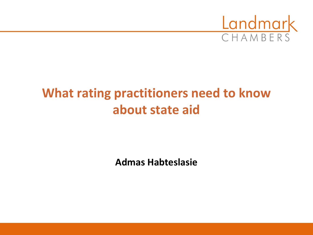

# **What rating practitioners need to know about state aid**

**Admas Habteslasie**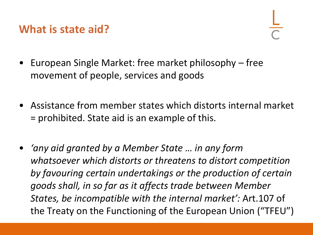#### **What is state aid?**

- European Single Market: free market philosophy free movement of people, services and goods
- Assistance from member states which distorts internal market = prohibited. State aid is an example of this.
- *'any aid granted by a Member State … in any form whatsoever which distorts or threatens to distort competition by favouring certain undertakings or the production of certain goods shall, in so far as it affects trade between Member States, be incompatible with the internal market':* Art.107 of the Treaty on the Functioning of the European Union ("TFEU")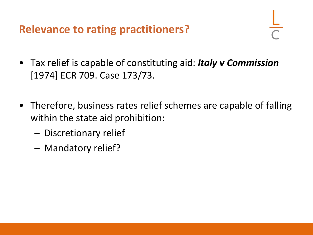**Relevance to rating practitioners?**

- Tax relief is capable of constituting aid: *Italy v Commission* [1974] ECR 709. Case 173/73.
- Therefore, business rates relief schemes are capable of falling within the state aid prohibition:
	- Discretionary relief
	- Mandatory relief?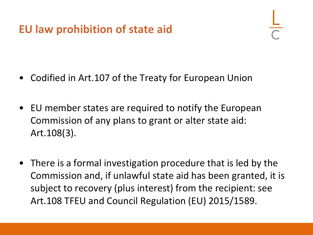#### **EU law prohibition of state aid**

- Codified in Art.107 of the Treaty for European Union
- EU member states are required to notify the European Commission of any plans to grant or alter state aid: Art.108(3).
- There is a formal investigation procedure that is led by the Commission and, if unlawful state aid has been granted, it is subject to recovery (plus interest) from the recipient: see Art.108 TFEU and Council Regulation (EU) 2015/1589.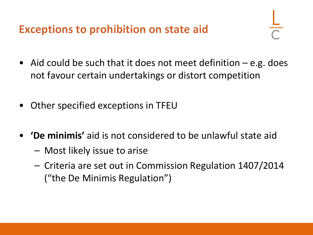**Exceptions to prohibition on state aid**

- Aid could be such that it does not meet definition  $-e.g.$  does not favour certain undertakings or distort competition
- Other specified exceptions in TFEU
- **'De minimis'** aid is not considered to be unlawful state aid
	- Most likely issue to arise
	- Criteria are set out in Commission Regulation 1407/2014 ("the De Minimis Regulation")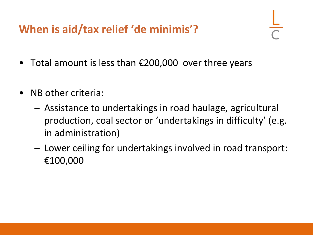**When is aid/tax relief 'de minimis'?**

- Total amount is less than €200,000 over three years
- NB other criteria:
	- Assistance to undertakings in road haulage, agricultural production, coal sector or 'undertakings in difficulty' (e.g. in administration)
	- Lower ceiling for undertakings involved in road transport: €100,000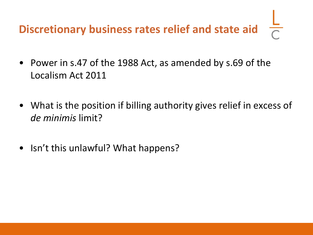# **Discretionary business rates relief and state aid**

- Power in s.47 of the 1988 Act, as amended by s.69 of the Localism Act 2011
- What is the position if billing authority gives relief in excess of *de minimis* limit?
- Isn't this unlawful? What happens?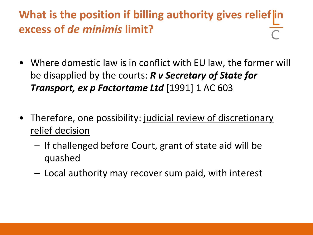### **What is the position if billing authority gives relief in excess of** *de minimis* **limit?**

- Where domestic law is in conflict with EU law, the former will be disapplied by the courts: *R v Secretary of State for Transport, ex p Factortame Ltd* [1991] 1 AC 603
- Therefore, one possibility: judicial review of discretionary relief decision
	- If challenged before Court, grant of state aid will be quashed
	- Local authority may recover sum paid, with interest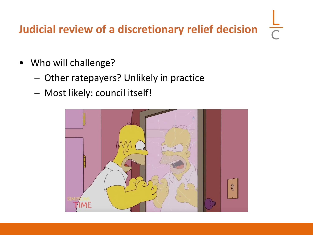# **Judicial review of a discretionary relief decision**

 $\frac{1}{\sqrt{2}}$ 

- Who will challenge?
	- Other ratepayers? Unlikely in practice
	- Most likely: council itself!

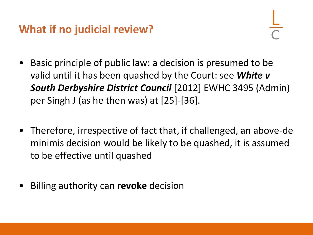#### **What if no judicial review?**

- Basic principle of public law: a decision is presumed to be valid until it has been quashed by the Court: see *White v South Derbyshire District Council* [2012] EWHC 3495 (Admin) per Singh J (as he then was) at [25]-[36].
- Therefore, irrespective of fact that, if challenged, an above-de minimis decision would be likely to be quashed, it is assumed to be effective until quashed
- Billing authority can **revoke** decision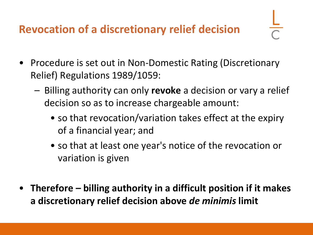#### **Revocation of a discretionary relief decision**

- Procedure is set out in Non-Domestic Rating (Discretionary Relief) Regulations 1989/1059:
	- Billing authority can only **revoke** a decision or vary a relief decision so as to increase chargeable amount:
		- so that revocation/variation takes effect at the expiry of a financial year; and
		- so that at least one year's notice of the revocation or variation is given
- **Therefore – billing authority in a difficult position if it makes a discretionary relief decision above** *de minimis* **limit**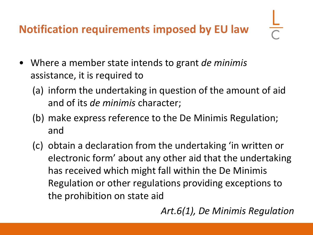**Notification requirements imposed by EU law**

- 
- Where a member state intends to grant *de minimis* assistance, it is required to
	- (a) inform the undertaking in question of the amount of aid and of its *de minimis* character;
	- (b) make express reference to the De Minimis Regulation; and
	- (c) obtain a declaration from the undertaking 'in written or electronic form' about any other aid that the undertaking has received which might fall within the De Minimis Regulation or other regulations providing exceptions to the prohibition on state aid

*Art.6(1), De Minimis Regulation*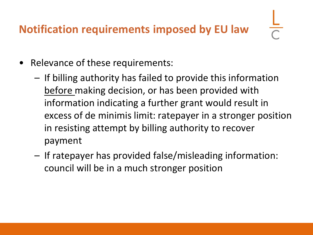#### **Notification requirements imposed by EU law**

- Relevance of these requirements:
	- If billing authority has failed to provide this information before making decision, or has been provided with information indicating a further grant would result in excess of de minimis limit: ratepayer in a stronger position in resisting attempt by billing authority to recover payment
	- If ratepayer has provided false/misleading information: council will be in a much stronger position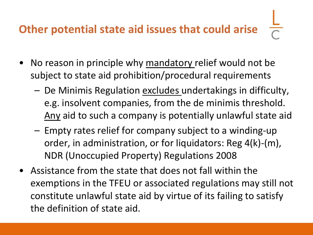# **Other potential state aid issues that could arise**

- No reason in principle why mandatory relief would not be subject to state aid prohibition/procedural requirements
	- De Minimis Regulation excludes undertakings in difficulty, e.g. insolvent companies, from the de minimis threshold. Any aid to such a company is potentially unlawful state aid
	- Empty rates relief for company subject to a winding-up order, in administration, or for liquidators: Reg 4(k)-(m), NDR (Unoccupied Property) Regulations 2008
- Assistance from the state that does not fall within the exemptions in the TFEU or associated regulations may still not constitute unlawful state aid by virtue of its failing to satisfy the definition of state aid.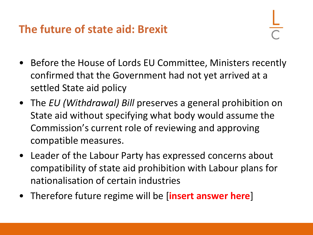#### **The future of state aid: Brexit**

- Before the House of Lords EU Committee, Ministers recently confirmed that the Government had not yet arrived at a settled State aid policy
- The *EU (Withdrawal) Bill* preserves a general prohibition on State aid without specifying what body would assume the Commission's current role of reviewing and approving compatible measures.
- Leader of the Labour Party has expressed concerns about compatibility of state aid prohibition with Labour plans for nationalisation of certain industries
- Therefore future regime will be [**insert answer here**]